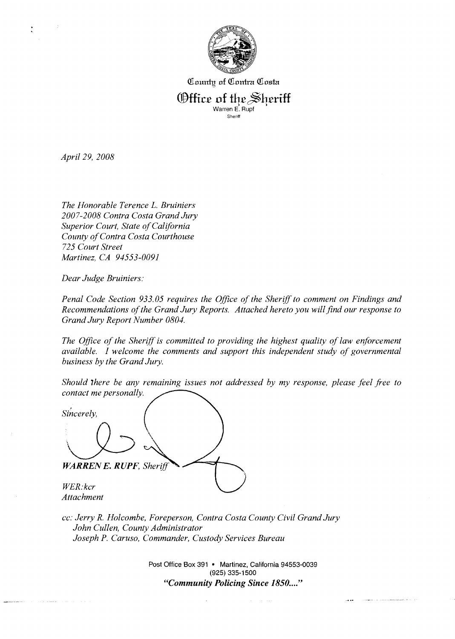

County of Contra Costa

Office of the Sheriff

Warren **E.** Rupf Sheriff

*April 29, 2008* 

*The Honorable Terence L. Bruiniers 2007-2008 Contra Costa Grand Jury Superior Court, State of California County of Contra Costa Courthouse 725 Court Street Martinez, CA 94553-0091* 

*Dear Judge Bruiniers:* 

*Penal Code Section 933.05 requires the Office of the Sherijf to comment on Findings and Recommendations of the Grand Jury Reports. Attached hereto you will find our response to Grand Jury Report Number 0804.* 

*The Office of the Sheriff is committed to providing the highest quality of law enforcement available. I welcome the comments and support this independent study of governmental business by the Grand Jury.* 

*Should There be any remaining issues not addressed by my response, please feel free to contact me personally.* 

\

Sincerely, **WARREN E. RUPF, Sheriff** *WER* : *kcr Attachment* 

*cc: Jerry R. Holcombe, Foreperson, Contra Costa County Civil Grand Jury John Cullen, County Administrator Joseph P. Caruso, Commander, Custody Services Bureau* 

> Post Office Box 391 · Martinez, California 94553-0039 **(925) 335-1 500**  *"Community Policing Since 1850* ...."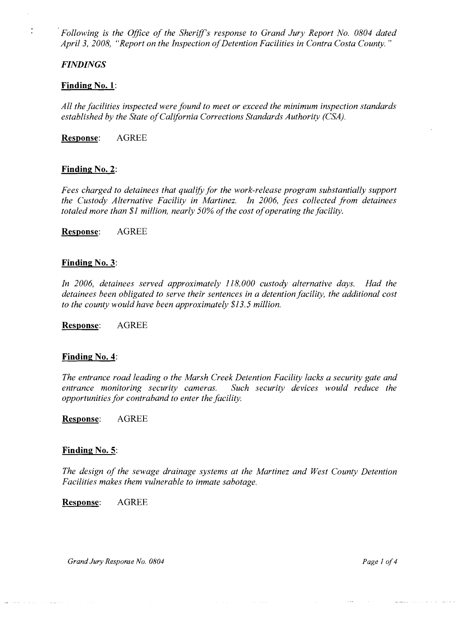*Following is the Office of the Sheriff's response to Grand Jury Report No. 0804 dated April 3, 2008, "Report on the Inspection of Detention Facilities in Contra Costa County.* "

#### *FINDINGS*

 $\frac{1}{4}$ 

## **Finding No. 1:**

*All the facilities inspected were found to meet or exceed the minimum inspection standards established by the State of California Corrections Standards Authority (CSA).* 

**Response:** AGREE

## **Finding No. 2:**

*Fees charged to detainees that qualify for the work-release program substantially support the Custody Alternative Facility in Martinez. In 2006, fees collected from detainees totaled more than \$1 million, nearly 50% of the cost of operating the facility.* 

**Response:** AGREE

#### **Finding No. 3:**

In 2006, detainees served approximately 118,000 custody alternative days. Had the *detainees been obligated to serve their sentences in a detention facility, the additional cost to the county would have been approximately \$13.5 million.* 

**Response:** AGREE

#### **Finding No. 4:**

*The entrance road leading o the Marsh Creek Detention Facility lacks a security gate and*  entrance monitoring security cameras. Such security devices would reduce the *opportunities for contraband to enter the facility.* 

**Response:** AGREE

#### **Finding No. 5:**

*The design of the sewage drainage systems at the Martinez and West County Detention Facilities makes them vulnerable to inmate sabotage.* 

**Response:** AGREE

*Grand Jury Response No. 0804 Page 1 of 4*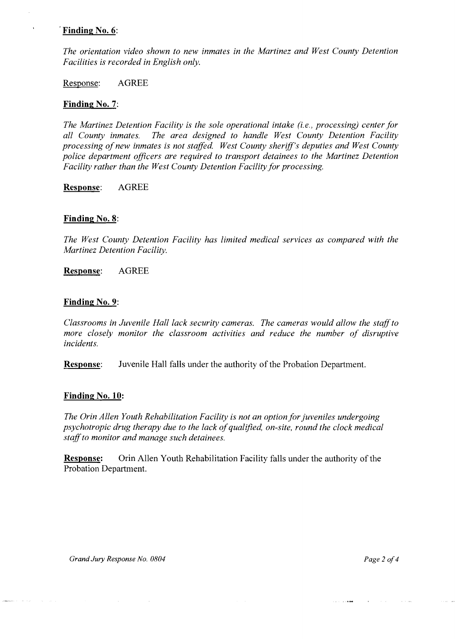# ' **Finding No. 6:**

*The orientation video shown to new inmates in the Martinez and West County Detention Facilities is recorded in English only.* 

Response: AGREE

#### **Finding No. 7:**

*The Martinez Detention Facility is the sole operational intake (i.e., processing) center for all County inmates. The area designed to handle West County Detention Facility processing of new inmates is not staffed. West County sheriff's deputies and West County police department officers are required to transport detainees to the Martinez Detention Facility rather than the West County Detention Facility for processing.* 

**Response:** AGREE

#### **Finding No. 8:**

*The West County Detention Facility has limited medical services as compared with the Martinez Detention Facility.* 

**Response:** AGREE

#### **Finding No. 9:**

*Classrooms in Juvenile Hall lack security cameras. The cameras would allow the staff to*  more closely monitor the classroom activities and reduce the number of disruptive *incidents.* 

**Response:** Juvenile Hall falls under the authority of the Probation Department.

#### **Finding No. 10:**

*The Orin Allen Youth Rehabilitation Facility is not an option for juveniles undergoing psychotropic drug therapy due to the lack of qualzfied, on-site, round the clock medical staff to monitor and manage such detainees.* 

**Response:** Orin Allen Youth Rehabilitation Facility falls under the authority of the Probation Department.

.<br>...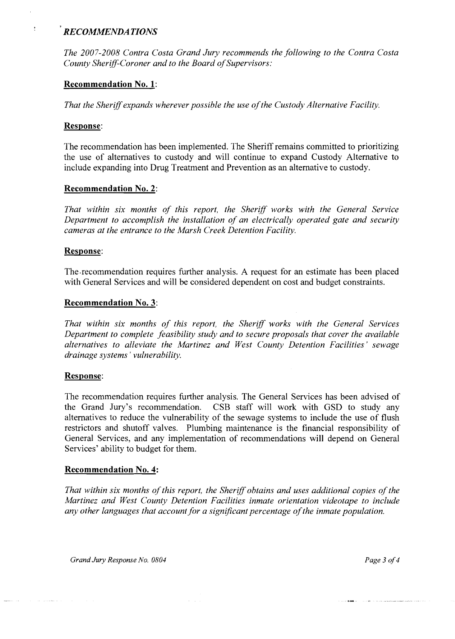# *RECOMMENDA TIONS*

*The 2007-2008 Contra Costa Grand Jury recommends the following to the Contra Costa County Sheriff-Coroner and to the Board of Supervisors:* 

# **Recommendation No. 1:**

*That the Sheriff expands wherever possible the use of the Custodj~ Alternative Facility.* 

# **Response:**

 $\ddot{\cdot}$ 

The recommendation has been implemented. The Sheriff remains committed to prioritizing the use of alternatives to custody and will continue to expand Custody Alternative to include expanding into Drug Treatment and Prevention as an alternative to custody.

# **Recommendation No. 2:**

*That within six months of this report, the Sherjff works with the General Service Department to accomplish the installation of an electrically operated gate and security cameras at the entrance to the Marsh Creek Detention Facility.* 

## **Response:**

The.recommendation requires further analysis. A request for an estimate has been placed with General Services and will be considered dependent on cost and budget constraints.

## **Recommendation No. 3:**

*That wilhin six months of this report, the Sheriff works with the General Services Department to complete feasibility study and to secure proposals that cover the available alternatives to alleviate the Martinez and West County Detention Facilities' sewage drainage systems* ' *vulnerability.* 

## **Response:**

The recommendation requires further analysis. The General Services has been advised of the Grand Jury's recommendation. CSB staff will work with GSD to study any alternatives to reduce the vulnerability of the sewage systems to include the use of flush restrictors and shutoff valves. Plumbing maintenance is the financial responsibility of General Services, and any implementation of recommendations will depend on General Services' ability to budget for them.

## **Recommendation No. 4:**

*That within six months of this report, the Sheriff obtains and uses additional copies of the Martinez and West County Detention Facilities inmate orientation videotape to include any other languages that account for a significant percentage of the inmate population.* 

*Grand Jury Response No. 0804 Page 3 of 4*